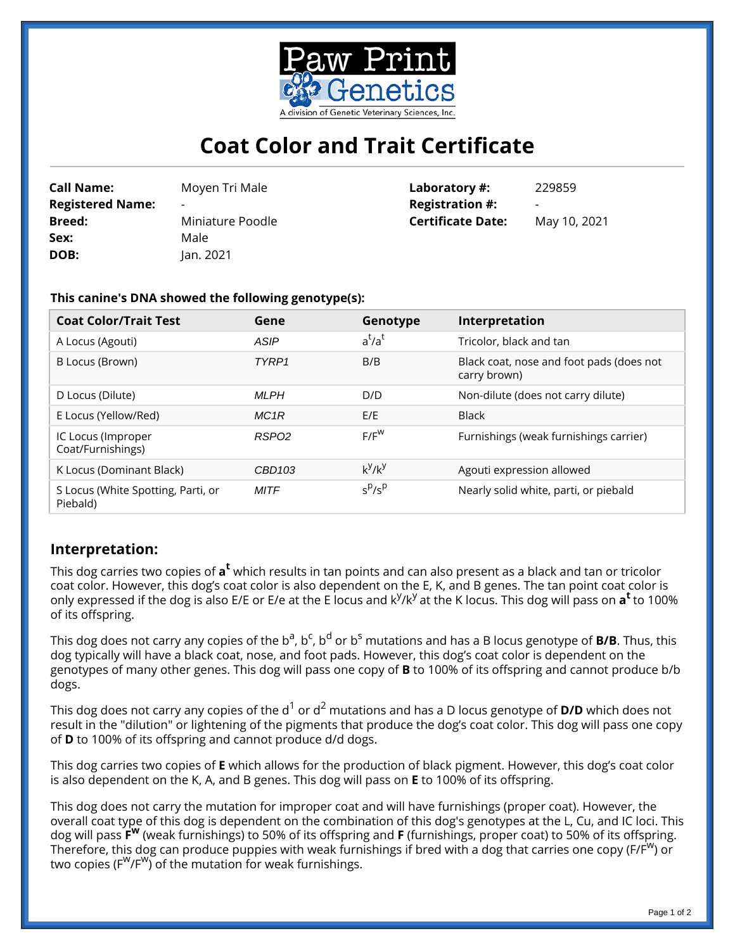

## **Coat Color and Trait Certificate**

| <b>Call Name:</b>       | Moyen Tr  |
|-------------------------|-----------|
| <b>Registered Name:</b> |           |
| <b>Breed:</b>           | Miniature |
| Sex:                    | Male      |
| DOB:                    | Jan. 2021 |

**Call Name:** Moyen Tri Male re Poodle **Laboratory #:** 229859 **Registration #: Certificate Date:** May 10, 2021

## **This canine's DNA showed the following genotype(s):**

| <b>Coat Color/Trait Test</b>                   | Gene              | Genotype  | Interpretation                                           |
|------------------------------------------------|-------------------|-----------|----------------------------------------------------------|
| A Locus (Agouti)                               | ASIP              | $a^t/a^t$ | Tricolor, black and tan                                  |
| B Locus (Brown)                                | TYRP <sub>1</sub> | B/B       | Black coat, nose and foot pads (does not<br>carry brown) |
| D Locus (Dilute)                               | <b>MLPH</b>       | D/D       | Non-dilute (does not carry dilute)                       |
| E Locus (Yellow/Red)                           | MC1R              | E/E       | <b>Black</b>                                             |
| IC Locus (Improper<br>Coat/Furnishings)        | RSPO <sub>2</sub> | $F/F^W$   | Furnishings (weak furnishings carrier)                   |
| K Locus (Dominant Black)                       | CBD103            | $k^y/k^y$ | Agouti expression allowed                                |
| S Locus (White Spotting, Parti, or<br>Piebald) | <b>MITF</b>       | $s^p/s^p$ | Nearly solid white, parti, or piebald                    |

## **Interpretation:**

This dog carries two copies of  $\mathsf{a}^\mathsf{t}$  which results in tan points and can also present as a black and tan or tricolor coat color. However, this dog's coat color is also dependent on the E, K, and B genes. The tan point coat color is only expressed if the dog is also E/E or E/e at the E locus and k<sup>y</sup>/k<sup>y</sup> at the K locus. This dog will pass on **a<sup>t</sup>** to 100% of its offspring.

This dog does not carry any copies of the b<sup>a</sup>, b<sup>c</sup>, b<sup>d</sup> or b<sup>s</sup> mutations and has a B locus genotype of **B/B**. Thus, this dog typically will have a black coat, nose, and foot pads. However, this dog's coat color is dependent on the genotypes of many other genes. This dog will pass one copy of **B** to 100% of its offspring and cannot produce b/b dogs.

This dog does not carry any copies of the d<sup>1</sup> or d<sup>2</sup> mutations and has a D locus genotype of **D/D** which does not result in the "dilution" or lightening of the pigments that produce the dog's coat color. This dog will pass one copy of **D** to 100% of its offspring and cannot produce d/d dogs.

This dog carries two copies of **E** which allows for the production of black pigment. However, this dog's coat color is also dependent on the K, A, and B genes. This dog will pass on **E** to 100% of its offspring.

This dog does not carry the mutation for improper coat and will have furnishings (proper coat). However, the overall coat type of this dog is dependent on the combination of this dog's genotypes at the L, Cu, and IC loci. This dog will pass **F <sup>w</sup>** (weak furnishings) to 50% of its offspring and **F** (furnishings, proper coat) to 50% of its offspring. Therefore, this dog can produce puppies with weak furnishings if bred with a dog that carries one copy (F/F<sup>W</sup>) or two copies (F<sup>w</sup>/F<sup>w</sup>) of the mutation for weak furnishings.